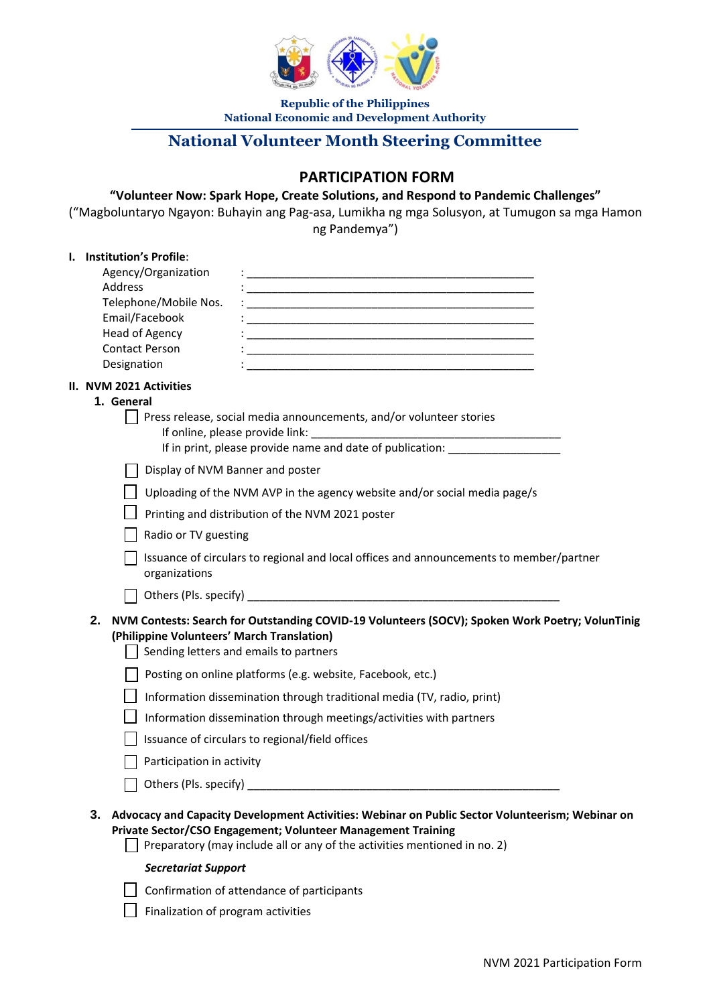

**Republic of the Philippines National Economic and Development Authority**

# **National Volunteer Month Steering Committee**

## **PARTICIPATION FORM**

#### **"Volunteer Now: Spark Hope, Create Solutions, and Respond to Pandemic Challenges"**

("Magboluntaryo Ngayon: Buhayin ang Pag-asa, Lumikha ng mga Solusyon, at Tumugon sa mga Hamon ng Pandemya")

#### **I. Institution's Profile**:

| <b>INSURGION S FIGHT</b> .<br>Agency/Organization | <u> 1989 - Johann John Stone, mars eta biztanleria (h. 1989).</u>                                                                         |
|---------------------------------------------------|-------------------------------------------------------------------------------------------------------------------------------------------|
| Address                                           |                                                                                                                                           |
| Telephone/Mobile Nos.                             | <u> 1989 - Johann John Stone, mars et al. 1989 - John Stone, mars et al. 1989 - John Stone, mars et al. 1989 - Joh</u>                    |
| Email/Facebook<br>Head of Agency                  |                                                                                                                                           |
| <b>Contact Person</b>                             | <u> 1989 - Johann John Stone, mars et al. (1989)</u>                                                                                      |
| Designation                                       | <u> 1980 - John Stein, Amerikaansk politiker († 1908)</u>                                                                                 |
| II. NVM 2021 Activities                           |                                                                                                                                           |
| 1. General                                        |                                                                                                                                           |
|                                                   | Press release, social media announcements, and/or volunteer stories                                                                       |
|                                                   | If online, please provide link:<br>If in print, please provide name and date of publication: ______________________                       |
|                                                   |                                                                                                                                           |
| Display of NVM Banner and poster                  |                                                                                                                                           |
|                                                   | Uploading of the NVM AVP in the agency website and/or social media page/s                                                                 |
|                                                   | Printing and distribution of the NVM 2021 poster                                                                                          |
| Radio or TV guesting                              |                                                                                                                                           |
|                                                   | Issuance of circulars to regional and local offices and announcements to member/partner                                                   |
| organizations                                     |                                                                                                                                           |
|                                                   |                                                                                                                                           |
| 2.                                                | NVM Contests: Search for Outstanding COVID-19 Volunteers (SOCV); Spoken Work Poetry; VolunTinig                                           |
| (Philippine Volunteers' March Translation)        |                                                                                                                                           |
|                                                   | Sending letters and emails to partners                                                                                                    |
|                                                   | Posting on online platforms (e.g. website, Facebook, etc.)                                                                                |
|                                                   | Information dissemination through traditional media (TV, radio, print)                                                                    |
|                                                   | Information dissemination through meetings/activities with partners                                                                       |
|                                                   | Issuance of circulars to regional/field offices                                                                                           |
| Participation in activity                         |                                                                                                                                           |
| Others (Pls. specify) _                           |                                                                                                                                           |
|                                                   |                                                                                                                                           |
|                                                   | 3. Advocacy and Capacity Development Activities: Webinar on Public Sector Volunteerism; Webinar on                                        |
|                                                   | Private Sector/CSO Engagement; Volunteer Management Training<br>Preparatory (may include all or any of the activities mentioned in no. 2) |
|                                                   |                                                                                                                                           |
| <b>Secretariat Support</b>                        |                                                                                                                                           |
|                                                   | Confirmation of attendance of participants                                                                                                |

 $\Box$  Finalization of program activities